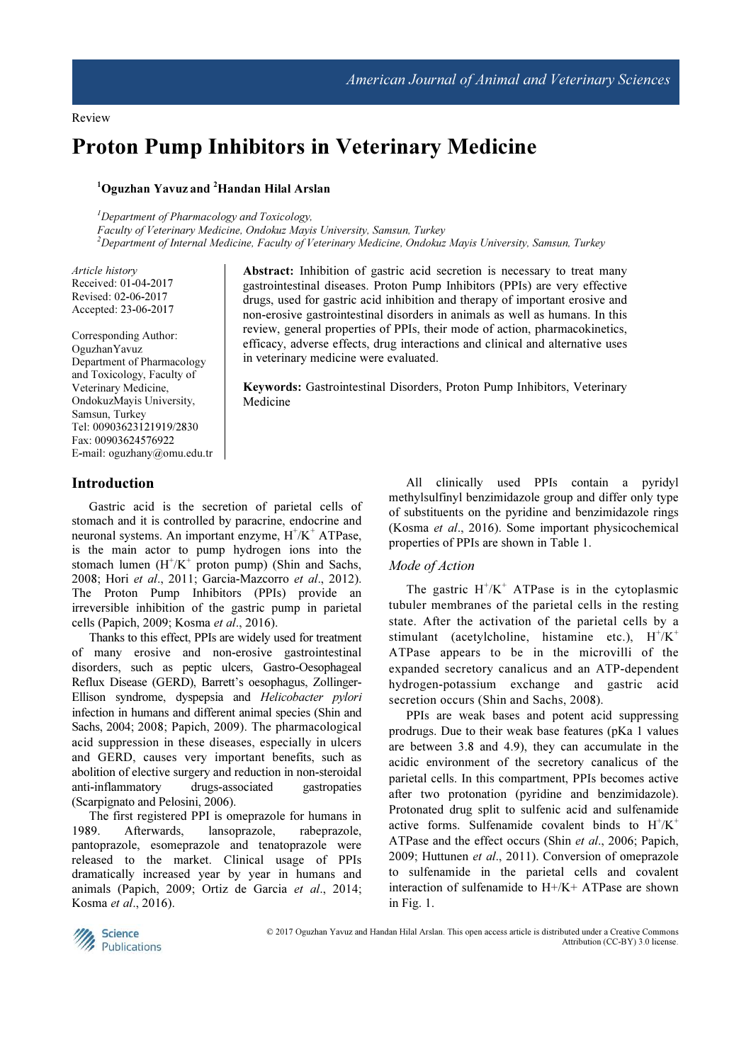# Proton Pump Inhibitors in Veterinary Medicine

## <sup>1</sup>Oguzhan Yavuz and <sup>2</sup>Handan Hilal Arslan

 $1$ Department of Pharmacology and Toxicology, Faculty of Veterinary Medicine, Ondokuz Mayis University, Samsun, Turkey  $2$ Department of Internal Medicine, Faculty of Veterinary Medicine, Ondokuz Mayis University, Samsun, Turkey

Article history Received: 01-04-2017 Revised: 02-06-2017 Accepted: 23-06-2017

Corresponding Author: OguzhanYavuz Department of Pharmacology and Toxicology, Faculty of Veterinary Medicine, OndokuzMayis University, Samsun, Turkey Tel: 00903623121919/2830 Fax: 00903624576922 E-mail: oguzhany@omu.edu.tr

# Introduction

Gastric acid is the secretion of parietal cells of stomach and it is controlled by paracrine, endocrine and neuronal systems. An important enzyme, H<sup>+</sup>/K<sup>+</sup> ATPase, is the main actor to pump hydrogen ions into the stomach lumen  $(H^+/K^+)$  proton pump) (Shin and Sachs, 2008; Hori et al., 2011; Garcia-Mazcorro et al., 2012). The Proton Pump Inhibitors (PPIs) provide an irreversible inhibition of the gastric pump in parietal cells (Papich, 2009; Kosma et al., 2016).

Thanks to this effect, PPIs are widely used for treatment of many erosive and non-erosive gastrointestinal disorders, such as peptic ulcers, Gastro-Oesophageal Reflux Disease (GERD), Barrett's oesophagus, Zollinger-Ellison syndrome, dyspepsia and Helicobacter pylori infection in humans and different animal species (Shin and Sachs, 2004; 2008; Papich, 2009). The pharmacological acid suppression in these diseases, especially in ulcers and GERD, causes very important benefits, such as abolition of elective surgery and reduction in non-steroidal anti-inflammatory drugs-associated gastropaties (Scarpignato and Pelosini, 2006).

The first registered PPI is omeprazole for humans in 1989. Afterwards, lansoprazole, rabeprazole, pantoprazole, esomeprazole and tenatoprazole were released to the market. Clinical usage of PPIs dramatically increased year by year in humans and animals (Papich, 2009; Ortiz de Garcia et al., 2014; Kosma et al., 2016).

Abstract: Inhibition of gastric acid secretion is necessary to treat many gastrointestinal diseases. Proton Pump Inhibitors (PPIs) are very effective drugs, used for gastric acid inhibition and therapy of important erosive and non-erosive gastrointestinal disorders in animals as well as humans. In this review, general properties of PPIs, their mode of action, pharmacokinetics, efficacy, adverse effects, drug interactions and clinical and alternative uses in veterinary medicine were evaluated.

Keywords: Gastrointestinal Disorders, Proton Pump Inhibitors, Veterinary Medicine

> All clinically used PPIs contain a pyridyl methylsulfinyl benzimidazole group and differ only type of substituents on the pyridine and benzimidazole rings (Kosma et al., 2016). Some important physicochemical properties of PPIs are shown in Table 1.

## Mode of Action

The gastric  $H^+/K^+$  ATPase is in the cytoplasmic tubuler membranes of the parietal cells in the resting state. After the activation of the parietal cells by a stimulant (acetylcholine, histamine etc.),  $H^+/K^+$ ATPase appears to be in the microvilli of the expanded secretory canalicus and an ATP-dependent hydrogen-potassium exchange and gastric acid secretion occurs (Shin and Sachs, 2008).

PPIs are weak bases and potent acid suppressing prodrugs. Due to their weak base features (pKa 1 values are between 3.8 and 4.9), they can accumulate in the acidic environment of the secretory canalicus of the parietal cells. In this compartment, PPIs becomes active after two protonation (pyridine and benzimidazole). Protonated drug split to sulfenic acid and sulfenamide active forms. Sulfenamide covalent binds to  $H^+/K^+$ ATPase and the effect occurs (Shin et al., 2006; Papich, 2009; Huttunen et al., 2011). Conversion of omeprazole to sulfenamide in the parietal cells and covalent interaction of sulfenamide to H+/K+ ATPase are shown in Fig. 1.



© 2017 Oguzhan Yavuz and Handan Hilal Arslan. This open access article is distributed under a Creative Commons Attribution (CC-BY) 3.0 license.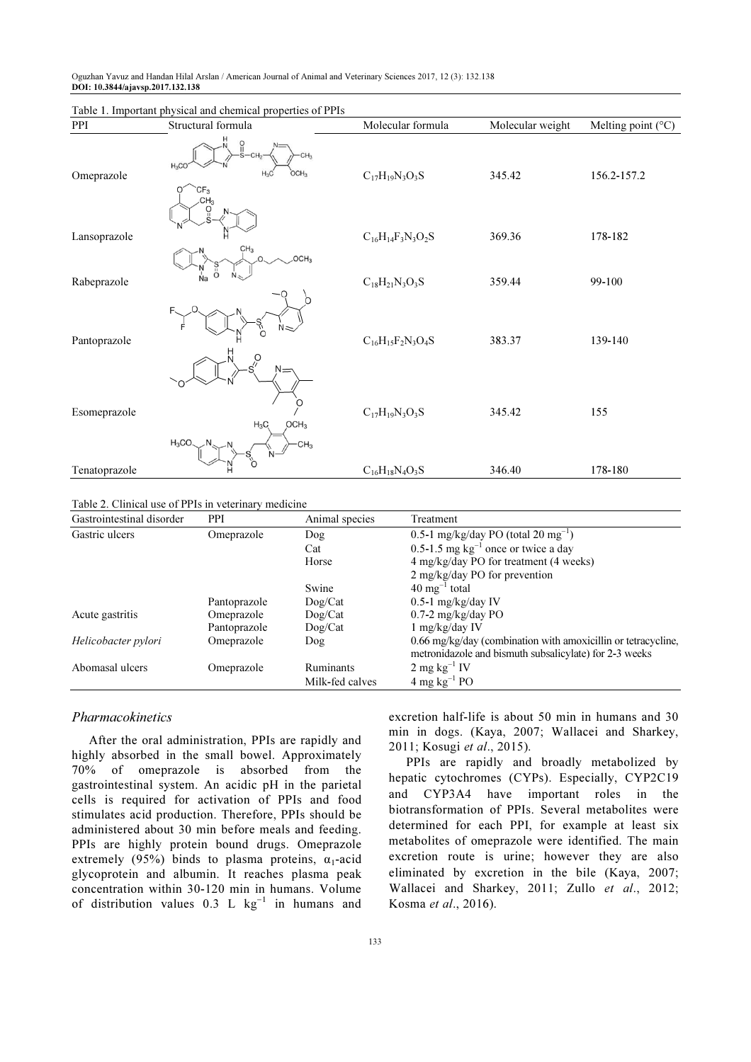Oguzhan Yavuz and Handan Hilal Arslan / American Journal of Animal and Veterinary Sciences 2017, 12 (3): 132.138 DOI: 10.3844/ajavsp.2017.132.138

| Table 1. Important physical and chemical properties of PPIs |                                                                                                |                          |                  |                             |  |
|-------------------------------------------------------------|------------------------------------------------------------------------------------------------|--------------------------|------------------|-----------------------------|--|
| PPI                                                         | Structural formula                                                                             | Molecular formula        | Molecular weight | Melting point $(^{\circ}C)$ |  |
| Omeprazole                                                  | CH <sub>3</sub><br>$H_3CO$<br>OCH <sub>3</sub><br>$H_3C$<br>CF <sub>3</sub><br>CH <sub>3</sub> | $C_{17}H_{19}N_3O_3S$    | 345.42           | 156.2-157.2                 |  |
| Lansoprazole                                                | ö<br>CH <sub>3</sub><br>OCH <sub>3</sub>                                                       | $C_{16}H_{14}F_3N_3O_2S$ | 369.36           | 178-182                     |  |
| Rabeprazole                                                 | Ő<br>Nа<br>O                                                                                   | $C_{18}H_{21}N_3O_3S$    | 359.44           | 99-100                      |  |
| Pantoprazole                                                | O<br>$S^{\vee}_{\lambda}$                                                                      | $C_{16}H_{15}F_2N_3O_4S$ | 383.37           | 139-140                     |  |
| Esomeprazole                                                | OCH <sub>3</sub><br>$H_3C$<br>$H_3CO$<br>CH <sub>3</sub>                                       | $C_{17}H_{19}N_3O_3S$    | 345.42           | 155                         |  |
| Tenatoprazole                                               | $S_{\text{o}}$                                                                                 | $C_{16}H_{18}N_4O_3S$    | 346.40           | 178-180                     |  |

Table 2. Clinical use of PPIs in veterinary medicine

| Gastrointestinal disorder | PPI          | Animal species  | Treatment                                                     |
|---------------------------|--------------|-----------------|---------------------------------------------------------------|
| Gastric ulcers            | Omeprazole   | Dog             | 0.5-1 mg/kg/day PO (total 20 mg <sup>-1</sup> )               |
|                           |              | Cat             | 0.5-1.5 mg $kg^{-1}$ once or twice a day                      |
|                           |              | Horse           | 4 mg/kg/day PO for treatment (4 weeks)                        |
|                           |              |                 | 2 mg/kg/day PO for prevention                                 |
|                           |              | Swine           | $40 \text{ mg}^{-1}$ total                                    |
|                           | Pantoprazole | Dog/Cat         | $0.5-1$ mg/kg/day IV                                          |
| Acute gastritis           | Omeprazole   | Dog/Cat         | $0.7-2$ mg/kg/day PO                                          |
|                           | Pantoprazole | Dog/Cat         | 1 mg/kg/day IV                                                |
| Helicobacter pylori       | Omeprazole   | Dog             | 0.66 mg/kg/day (combination with amoxicillin or tetracycline, |
|                           |              |                 | metronidazole and bismuth subsalicylate) for 2-3 weeks        |
| Abomasal ulcers           | Omeprazole   | Ruminants       | 2 mg $kg^{-1}$ IV                                             |
|                           |              | Milk-fed calves | 4 mg $kg^{-1}$ PO                                             |

#### Pharmacokinetics

After the oral administration, PPIs are rapidly and highly absorbed in the small bowel. Approximately 70% of omeprazole is absorbed from the gastrointestinal system. An acidic pH in the parietal cells is required for activation of PPIs and food stimulates acid production. Therefore, PPIs should be administered about 30 min before meals and feeding. PPIs are highly protein bound drugs. Omeprazole extremely (95%) binds to plasma proteins,  $\alpha_1$ -acid glycoprotein and albumin. It reaches plasma peak concentration within 30-120 min in humans. Volume of distribution values  $0.3$  L  $\text{kg}^{-1}$  in humans and excretion half-life is about 50 min in humans and 30 min in dogs. (Kaya, 2007; Wallacei and Sharkey, 2011; Kosugi et al., 2015).

PPIs are rapidly and broadly metabolized by hepatic cytochromes (CYPs). Especially, CYP2C19 and CYP3A4 have important roles in the biotransformation of PPIs. Several metabolites were determined for each PPI, for example at least six metabolites of omeprazole were identified. The main excretion route is urine; however they are also eliminated by excretion in the bile (Kaya, 2007; Wallacei and Sharkey, 2011; Zullo et al., 2012; Kosma et al., 2016).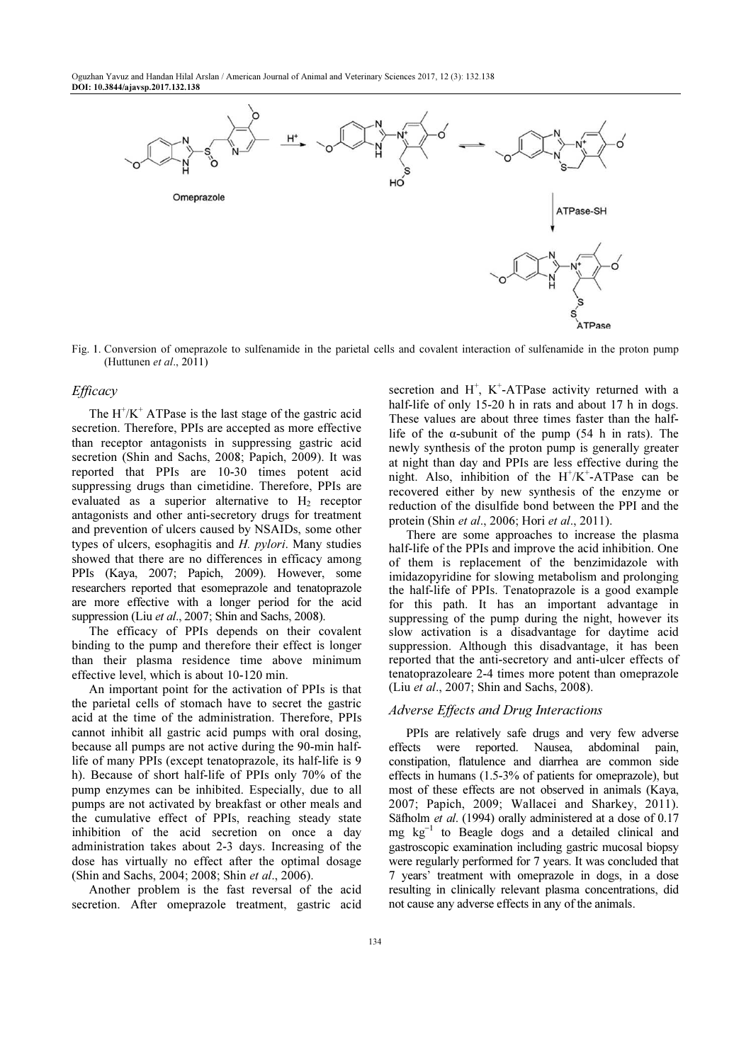

Fig. 1. Conversion of omeprazole to sulfenamide in the parietal cells and covalent interaction of sulfenamide in the proton pump (Huttunen et al., 2011)

#### **Efficacy**

The  $H^{\dagger}/K^{\dagger}$  ATPase is the last stage of the gastric acid secretion. Therefore, PPIs are accepted as more effective than receptor antagonists in suppressing gastric acid secretion (Shin and Sachs, 2008; Papich, 2009). It was reported that PPIs are 10-30 times potent acid suppressing drugs than cimetidine. Therefore, PPIs are evaluated as a superior alternative to  $H_2$  receptor antagonists and other anti-secretory drugs for treatment and prevention of ulcers caused by NSAIDs, some other types of ulcers, esophagitis and H. pylori. Many studies showed that there are no differences in efficacy among PPIs (Kaya, 2007; Papich, 2009). However, some researchers reported that esomeprazole and tenatoprazole are more effective with a longer period for the acid suppression (Liu et al., 2007; Shin and Sachs, 2008).

The efficacy of PPIs depends on their covalent binding to the pump and therefore their effect is longer than their plasma residence time above minimum effective level, which is about 10-120 min.

An important point for the activation of PPIs is that the parietal cells of stomach have to secret the gastric acid at the time of the administration. Therefore, PPIs cannot inhibit all gastric acid pumps with oral dosing, because all pumps are not active during the 90-min halflife of many PPIs (except tenatoprazole, its half-life is 9 h). Because of short half-life of PPIs only 70% of the pump enzymes can be inhibited. Especially, due to all pumps are not activated by breakfast or other meals and the cumulative effect of PPIs, reaching steady state inhibition of the acid secretion on once a day administration takes about 2-3 days. Increasing of the dose has virtually no effect after the optimal dosage (Shin and Sachs, 2004; 2008; Shin et al., 2006).

Another problem is the fast reversal of the acid secretion. After omeprazole treatment, gastric acid

secretion and  $H^+$ ,  $K^+$ -ATPase activity returned with a half-life of only 15-20 h in rats and about 17 h in dogs. These values are about three times faster than the halflife of the  $\alpha$ -subunit of the pump (54 h in rats). The newly synthesis of the proton pump is generally greater at night than day and PPIs are less effective during the night. Also, inhibition of the  $H^+/K^+$ -ATPase can be recovered either by new synthesis of the enzyme or reduction of the disulfide bond between the PPI and the protein (Shin et al., 2006; Hori et al., 2011).

There are some approaches to increase the plasma half-life of the PPIs and improve the acid inhibition. One of them is replacement of the benzimidazole with imidazopyridine for slowing metabolism and prolonging the half-life of PPIs. Tenatoprazole is a good example for this path. It has an important advantage in suppressing of the pump during the night, however its slow activation is a disadvantage for daytime acid suppression. Although this disadvantage, it has been reported that the anti-secretory and anti-ulcer effects of tenatoprazoleare 2-4 times more potent than omeprazole (Liu et al., 2007; Shin and Sachs, 2008).

#### Adverse Effects and Drug Interactions

PPIs are relatively safe drugs and very few adverse effects were reported. Nausea, abdominal pain, constipation, flatulence and diarrhea are common side effects in humans (1.5-3% of patients for omeprazole), but most of these effects are not observed in animals (Kaya, 2007; Papich, 2009; Wallacei and Sharkey, 2011). Säfholm et al. (1994) orally administered at a dose of 0.17 mg kg<sup>−</sup><sup>1</sup> to Beagle dogs and a detailed clinical and gastroscopic examination including gastric mucosal biopsy were regularly performed for 7 years. It was concluded that 7 years' treatment with omeprazole in dogs, in a dose resulting in clinically relevant plasma concentrations, did not cause any adverse effects in any of the animals.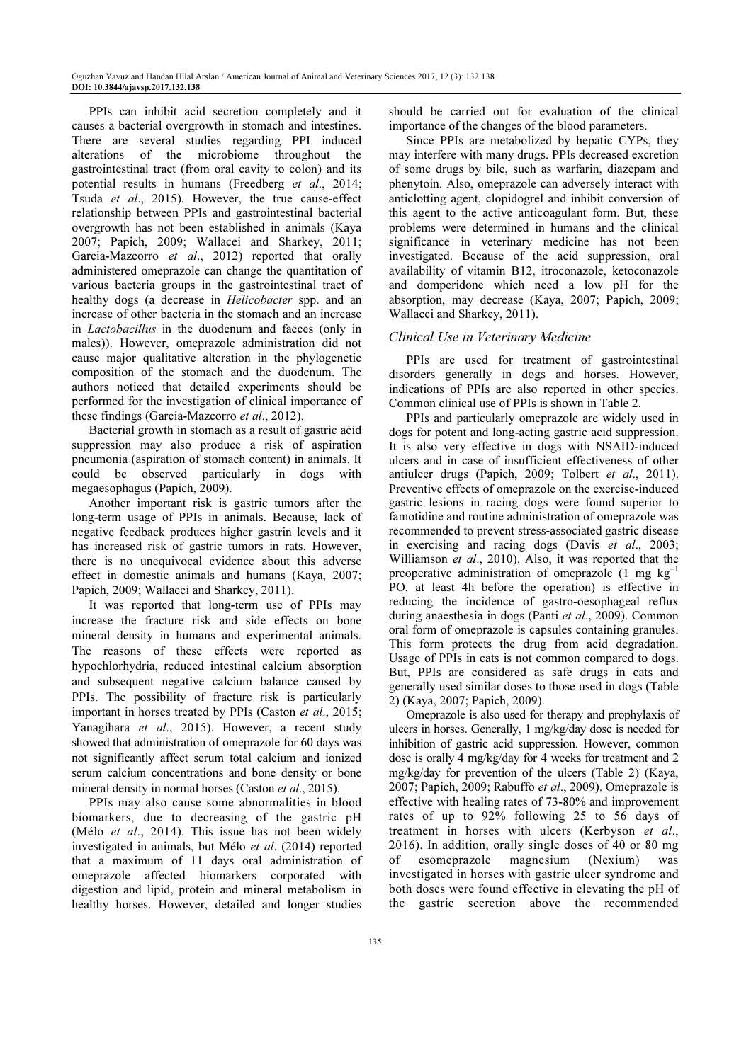PPIs can inhibit acid secretion completely and it causes a bacterial overgrowth in stomach and intestines. There are several studies regarding PPI induced alterations of the microbiome throughout the gastrointestinal tract (from oral cavity to colon) and its potential results in humans (Freedberg et al., 2014; Tsuda et al., 2015). However, the true cause-effect relationship between PPIs and gastrointestinal bacterial overgrowth has not been established in animals (Kaya 2007; Papich, 2009; Wallacei and Sharkey, 2011; Garcia-Mazcorro et al., 2012) reported that orally administered omeprazole can change the quantitation of various bacteria groups in the gastrointestinal tract of healthy dogs (a decrease in *Helicobacter* spp. and an increase of other bacteria in the stomach and an increase in Lactobacillus in the duodenum and faeces (only in males)). However, omeprazole administration did not cause major qualitative alteration in the phylogenetic composition of the stomach and the duodenum. The authors noticed that detailed experiments should be performed for the investigation of clinical importance of these findings (Garcia-Mazcorro et al., 2012).

Bacterial growth in stomach as a result of gastric acid suppression may also produce a risk of aspiration pneumonia (aspiration of stomach content) in animals. It could be observed particularly in dogs with megaesophagus (Papich, 2009).

Another important risk is gastric tumors after the long-term usage of PPIs in animals. Because, lack of negative feedback produces higher gastrin levels and it has increased risk of gastric tumors in rats. However, there is no unequivocal evidence about this adverse effect in domestic animals and humans (Kaya, 2007; Papich, 2009; Wallacei and Sharkey, 2011).

It was reported that long-term use of PPIs may increase the fracture risk and side effects on bone mineral density in humans and experimental animals. The reasons of these effects were reported as hypochlorhydria, reduced intestinal calcium absorption and subsequent negative calcium balance caused by PPIs. The possibility of fracture risk is particularly important in horses treated by PPIs (Caston *et al.*, 2015; Yanagihara et al., 2015). However, a recent study showed that administration of omeprazole for 60 days was not significantly affect serum total calcium and ionized serum calcium concentrations and bone density or bone mineral density in normal horses (Caston et al., 2015).

PPIs may also cause some abnormalities in blood biomarkers, due to decreasing of the gastric pH (Mélo et al., 2014). This issue has not been widely investigated in animals, but Mélo et al. (2014) reported that a maximum of 11 days oral administration of omeprazole affected biomarkers corporated with digestion and lipid, protein and mineral metabolism in healthy horses. However, detailed and longer studies should be carried out for evaluation of the clinical importance of the changes of the blood parameters.

Since PPIs are metabolized by hepatic CYPs, they may interfere with many drugs. PPIs decreased excretion of some drugs by bile, such as warfarin, diazepam and phenytoin. Also, omeprazole can adversely interact with anticlotting agent, clopidogrel and inhibit conversion of this agent to the active anticoagulant form. But, these problems were determined in humans and the clinical significance in veterinary medicine has not been investigated. Because of the acid suppression, oral availability of vitamin B12, itroconazole, ketoconazole and domperidone which need a low pH for the absorption, may decrease (Kaya, 2007; Papich, 2009; Wallacei and Sharkey, 2011).

# Clinical Use in Veterinary Medicine

PPIs are used for treatment of gastrointestinal disorders generally in dogs and horses. However, indications of PPIs are also reported in other species. Common clinical use of PPIs is shown in Table 2.

PPIs and particularly omeprazole are widely used in dogs for potent and long-acting gastric acid suppression. It is also very effective in dogs with NSAID-induced ulcers and in case of insufficient effectiveness of other antiulcer drugs (Papich, 2009; Tolbert et al., 2011). Preventive effects of omeprazole on the exercise-induced gastric lesions in racing dogs were found superior to famotidine and routine administration of omeprazole was recommended to prevent stress-associated gastric disease in exercising and racing dogs (Davis et al., 2003; Williamson et al., 2010). Also, it was reported that the preoperative administration of omeprazole  $(1 \text{ mg kg}^{-1})$ PO, at least 4h before the operation) is effective in reducing the incidence of gastro-oesophageal reflux during anaesthesia in dogs (Panti et al., 2009). Common oral form of omeprazole is capsules containing granules. This form protects the drug from acid degradation. Usage of PPIs in cats is not common compared to dogs. But, PPIs are considered as safe drugs in cats and generally used similar doses to those used in dogs (Table 2) (Kaya, 2007; Papich, 2009).

Omeprazole is also used for therapy and prophylaxis of ulcers in horses. Generally, 1 mg/kg/day dose is needed for inhibition of gastric acid suppression. However, common dose is orally 4 mg/kg/day for 4 weeks for treatment and 2 mg/kg/day for prevention of the ulcers (Table 2) (Kaya, 2007; Papich, 2009; Rabuffo et al., 2009). Omeprazole is effective with healing rates of 73-80% and improvement rates of up to 92% following 25 to 56 days of treatment in horses with ulcers (Kerbyson et al., 2016). In addition, orally single doses of 40 or 80 mg of esomeprazole magnesium (Nexium) was investigated in horses with gastric ulcer syndrome and both doses were found effective in elevating the pH of the gastric secretion above the recommended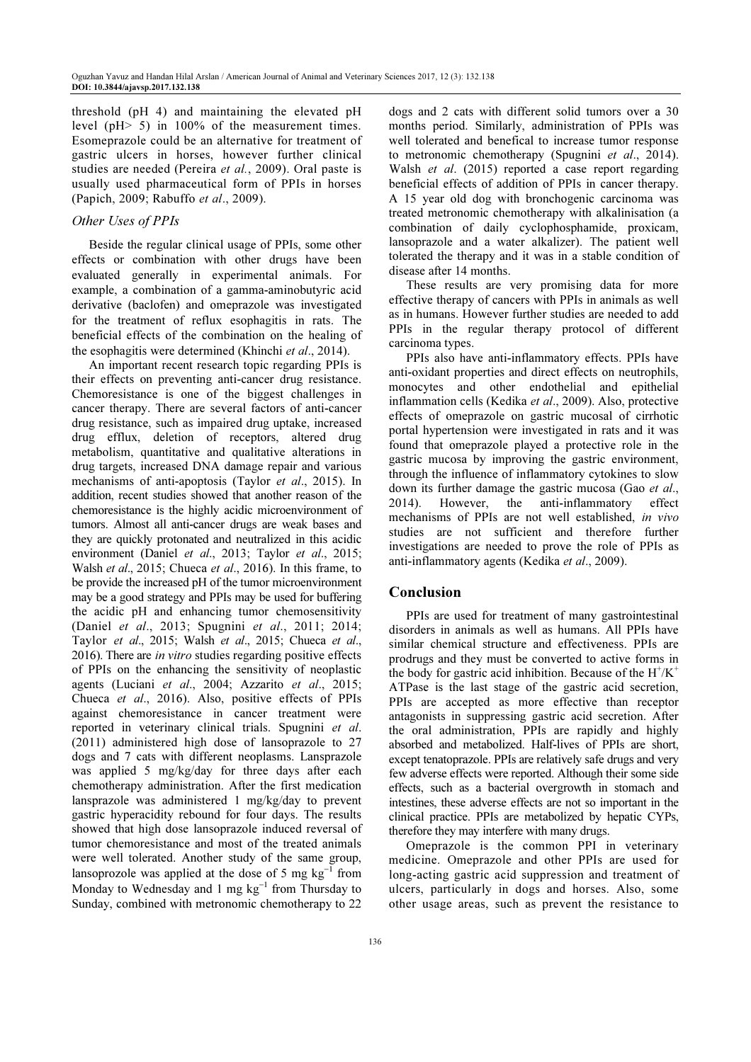threshold (pH 4) and maintaining the elevated pH level (pH> 5) in 100% of the measurement times. Esomeprazole could be an alternative for treatment of gastric ulcers in horses, however further clinical studies are needed (Pereira et al., 2009). Oral paste is usually used pharmaceutical form of PPIs in horses (Papich, 2009; Rabuffo et al., 2009).

### Other Uses of PPIs

Beside the regular clinical usage of PPIs, some other effects or combination with other drugs have been evaluated generally in experimental animals. For example, a combination of a gamma-aminobutyric acid derivative (baclofen) and omeprazole was investigated for the treatment of reflux esophagitis in rats. The beneficial effects of the combination on the healing of the esophagitis were determined (Khinchi et al., 2014).

An important recent research topic regarding PPIs is their effects on preventing anti-cancer drug resistance. Chemoresistance is one of the biggest challenges in cancer therapy. There are several factors of anti-cancer drug resistance, such as impaired drug uptake, increased drug efflux, deletion of receptors, altered drug metabolism, quantitative and qualitative alterations in drug targets, increased DNA damage repair and various mechanisms of anti-apoptosis (Taylor et al., 2015). In addition, recent studies showed that another reason of the chemoresistance is the highly acidic microenvironment of tumors. Almost all anti-cancer drugs are weak bases and they are quickly protonated and neutralized in this acidic environment (Daniel et al., 2013; Taylor et al., 2015; Walsh et al., 2015; Chueca et al., 2016). In this frame, to be provide the increased pH of the tumor microenvironment may be a good strategy and PPIs may be used for buffering the acidic pH and enhancing tumor chemosensitivity (Daniel et al., 2013; Spugnini et al., 2011; 2014; Taylor et al., 2015; Walsh et al., 2015; Chueca et al., 2016). There are in vitro studies regarding positive effects of PPIs on the enhancing the sensitivity of neoplastic agents (Luciani et al., 2004; Azzarito et al., 2015; Chueca et al., 2016). Also, positive effects of PPIs against chemoresistance in cancer treatment were reported in veterinary clinical trials. Spugnini et al. (2011) administered high dose of lansoprazole to 27 dogs and 7 cats with different neoplasms. Lansprazole was applied 5 mg/kg/day for three days after each chemotherapy administration. After the first medication lansprazole was administered 1 mg/kg/day to prevent gastric hyperacidity rebound for four days. The results showed that high dose lansoprazole induced reversal of tumor chemoresistance and most of the treated animals were well tolerated. Another study of the same group, lansoprozole was applied at the dose of 5 mg  $\text{kg}^{-1}$  from Monday to Wednesday and 1 mg  $kg^{-1}$  from Thursday to Sunday, combined with metronomic chemotherapy to 22

dogs and 2 cats with different solid tumors over a 30 months period. Similarly, administration of PPIs was well tolerated and benefical to increase tumor response to metronomic chemotherapy (Spugnini et al., 2014). Walsh *et al.* (2015) reported a case report regarding beneficial effects of addition of PPIs in cancer therapy. A 15 year old dog with bronchogenic carcinoma was treated metronomic chemotherapy with alkalinisation (a combination of daily cyclophosphamide, proxicam, lansoprazole and a water alkalizer). The patient well tolerated the therapy and it was in a stable condition of disease after 14 months.

These results are very promising data for more effective therapy of cancers with PPIs in animals as well as in humans. However further studies are needed to add PPIs in the regular therapy protocol of different carcinoma types.

PPIs also have anti-inflammatory effects. PPIs have anti-oxidant properties and direct effects on neutrophils, monocytes and other endothelial and epithelial inflammation cells (Kedika et al., 2009). Also, protective effects of omeprazole on gastric mucosal of cirrhotic portal hypertension were investigated in rats and it was found that omeprazole played a protective role in the gastric mucosa by improving the gastric environment, through the influence of inflammatory cytokines to slow down its further damage the gastric mucosa (Gao et al., 2014). However, the anti-inflammatory effect mechanisms of PPIs are not well established, in vivo studies are not sufficient and therefore further investigations are needed to prove the role of PPIs as anti-inflammatory agents (Kedika et al., 2009).

## Conclusion

PPIs are used for treatment of many gastrointestinal disorders in animals as well as humans. All PPIs have similar chemical structure and effectiveness. PPIs are prodrugs and they must be converted to active forms in the body for gastric acid inhibition. Because of the  $H^+/K^+$ ATPase is the last stage of the gastric acid secretion, PPIs are accepted as more effective than receptor antagonists in suppressing gastric acid secretion. After the oral administration, PPIs are rapidly and highly absorbed and metabolized. Half-lives of PPIs are short, except tenatoprazole. PPIs are relatively safe drugs and very few adverse effects were reported. Although their some side effects, such as a bacterial overgrowth in stomach and intestines, these adverse effects are not so important in the clinical practice. PPIs are metabolized by hepatic CYPs, therefore they may interfere with many drugs.

Omeprazole is the common PPI in veterinary medicine. Omeprazole and other PPIs are used for long-acting gastric acid suppression and treatment of ulcers, particularly in dogs and horses. Also, some other usage areas, such as prevent the resistance to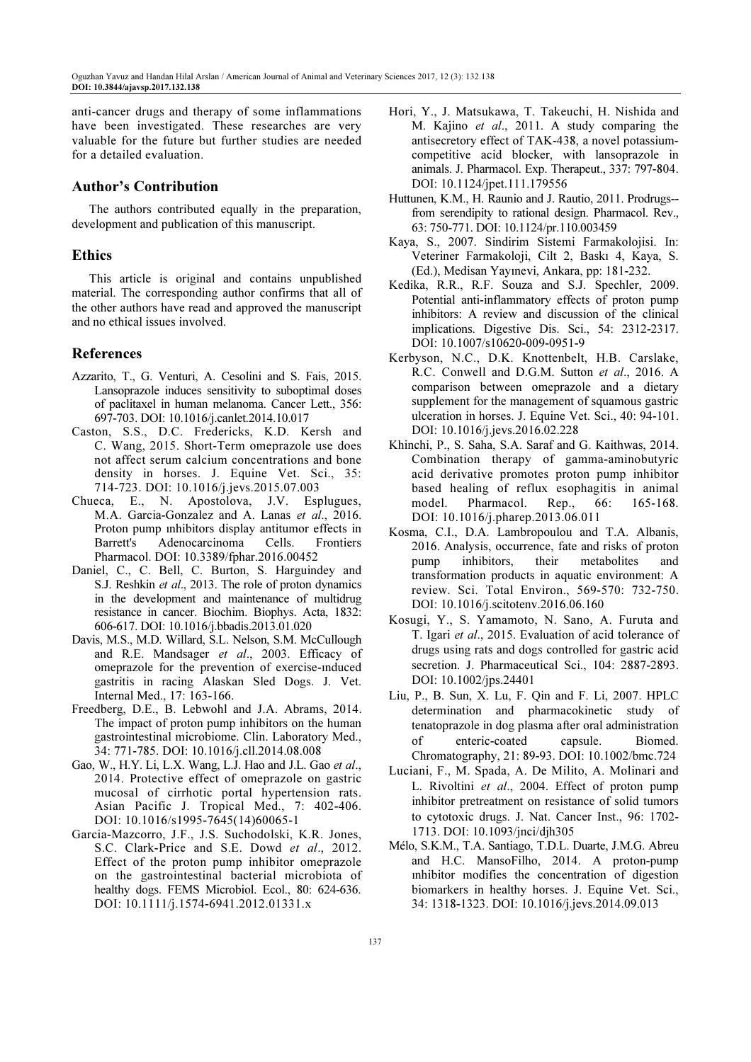anti-cancer drugs and therapy of some inflammations have been investigated. These researches are very valuable for the future but further studies are needed for a detailed evaluation.

# Author's Contribution

The authors contributed equally in the preparation, development and publication of this manuscript.

# **Ethics**

This article is original and contains unpublished material. The corresponding author confirms that all of the other authors have read and approved the manuscript and no ethical issues involved.

# References

- Azzarito, T., G. Venturi, A. Cesolini and S. Fais, 2015. Lansoprazole induces sensitivity to suboptimal doses of paclitaxel in human melanoma. Cancer Lett., 356: 697-703. DOI: 10.1016/j.canlet.2014.10.017
- Caston, S.S., D.C. Fredericks, K.D. Kersh and C. Wang, 2015. Short-Term omeprazole use does not affect serum calcium concentrations and bone density in horses. J. Equine Vet. Sci., 35: 714-723. DOI: 10.1016/j.jevs.2015.07.003
- Chueca, E., N. Apostolova, J.V. Esplugues, M.A. Garcia-Gonzalez and A. Lanas et al., 2016. Proton pump ınhibitors display antitumor effects in Barrett's Adenocarcinoma Cells. Frontiers Pharmacol. DOI: 10.3389/fphar.2016.00452
- Daniel, C., C. Bell, C. Burton, S. Harguindey and S.J. Reshkin et al., 2013. The role of proton dynamics in the development and maintenance of multidrug resistance in cancer. Biochim. Biophys. Acta, 1832: 606-617. DOI: 10.1016/j.bbadis.2013.01.020
- Davis, M.S., M.D. Willard, S.L. Nelson, S.M. McCullough and R.E. Mandsager et al., 2003. Efficacy of omeprazole for the prevention of exercise-ınduced gastritis in racing Alaskan Sled Dogs. J. Vet. Internal Med., 17: 163-166.
- Freedberg, D.E., B. Lebwohl and J.A. Abrams, 2014. The impact of proton pump inhibitors on the human gastrointestinal microbiome. Clin. Laboratory Med., 34: 771-785. DOI: 10.1016/j.cll.2014.08.008
- Gao, W., H.Y. Li, L.X. Wang, L.J. Hao and J.L. Gao et al., 2014. Protective effect of omeprazole on gastric mucosal of cirrhotic portal hypertension rats. Asian Pacific J. Tropical Med., 7: 402-406. DOI: 10.1016/s1995-7645(14)60065-1
- Garcia-Mazcorro, J.F., J.S. Suchodolski, K.R. Jones, S.C. Clark-Price and S.E. Dowd et al., 2012. Effect of the proton pump inhibitor omeprazole on the gastrointestinal bacterial microbiota of healthy dogs. FEMS Microbiol. Ecol., 80: 624-636. DOI: 10.1111/j.1574-6941.2012.01331.x
- Hori, Y., J. Matsukawa, T. Takeuchi, H. Nishida and M. Kajino et al., 2011. A study comparing the antisecretory effect of TAK-438, a novel potassiumcompetitive acid blocker, with lansoprazole in animals. J. Pharmacol. Exp. Therapeut., 337: 797-804. DOI: 10.1124/jpet.111.179556
- Huttunen, K.M., H. Raunio and J. Rautio, 2011. Prodrugs- from serendipity to rational design. Pharmacol. Rev., 63: 750-771. DOI: 10.1124/pr.110.003459
- Kaya, S., 2007. Sindirim Sistemi Farmakolojisi. In: Veteriner Farmakoloji, Cilt 2, Baskı 4, Kaya, S. (Ed.), Medisan Yayınevi, Ankara, pp: 181-232.
- Kedika, R.R., R.F. Souza and S.J. Spechler, 2009. Potential anti-inflammatory effects of proton pump inhibitors: A review and discussion of the clinical implications. Digestive Dis. Sci., 54: 2312-2317. DOI: 10.1007/s10620-009-0951-9
- Kerbyson, N.C., D.K. Knottenbelt, H.B. Carslake, R.C. Conwell and D.G.M. Sutton et al., 2016. A comparison between omeprazole and a dietary supplement for the management of squamous gastric ulceration in horses. J. Equine Vet. Sci., 40: 94-101. DOI: 10.1016/j.jevs.2016.02.228
- Khinchi, P., S. Saha, S.A. Saraf and G. Kaithwas, 2014. Combination therapy of gamma-aminobutyric acid derivative promotes proton pump inhibitor based healing of reflux esophagitis in animal model. Pharmacol. Rep., 66: 165-168. DOI: 10.1016/j.pharep.2013.06.011
- Kosma, C.I., D.A. Lambropoulou and T.A. Albanis, 2016. Analysis, occurrence, fate and risks of proton pump inhibitors, their metabolites and transformation products in aquatic environment: A review. Sci. Total Environ., 569-570: 732-750. DOI: 10.1016/j.scitotenv.2016.06.160
- Kosugi, Y., S. Yamamoto, N. Sano, A. Furuta and T. Igari et al., 2015. Evaluation of acid tolerance of drugs using rats and dogs controlled for gastric acid secretion. J. Pharmaceutical Sci., 104: 2887-2893. DOI: 10.1002/jps.24401
- Liu, P., B. Sun, X. Lu, F. Qin and F. Li, 2007. HPLC determination and pharmacokinetic study of tenatoprazole in dog plasma after oral administration of enteric-coated capsule. Biomed. Chromatography, 21: 89-93. DOI: 10.1002/bmc.724
- Luciani, F., M. Spada, A. De Milito, A. Molinari and L. Rivoltini et al., 2004. Effect of proton pump inhibitor pretreatment on resistance of solid tumors to cytotoxic drugs. J. Nat. Cancer Inst., 96: 1702- 1713. DOI: 10.1093/jnci/djh305
- Mélo, S.K.M., T.A. Santiago, T.D.L. Duarte, J.M.G. Abreu and H.C. MansoFilho, 2014. A proton-pump ınhibitor modifies the concentration of digestion biomarkers in healthy horses. J. Equine Vet. Sci., 34: 1318-1323. DOI: 10.1016/j.jevs.2014.09.013